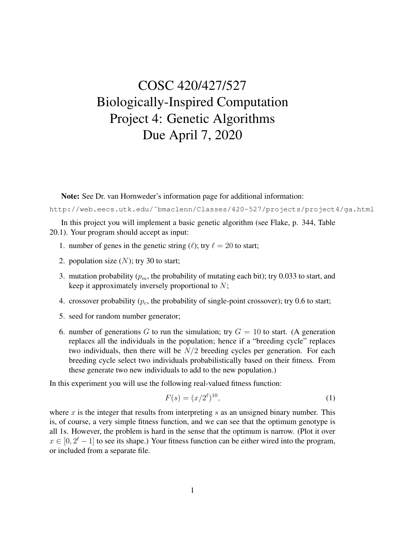## COSC 420/427/527 Biologically-Inspired Computation Project 4: Genetic Algorithms Due April 7, 2020

Note: See Dr. van Hornweder's information page for additional information:

http://web.eecs.utk.edu/˜bmaclenn/Classes/420-527/projects/project4/ga.html

In this project you will implement a basic genetic algorithm (see Flake, p. 344, Table 20.1). Your program should accept as input:

- 1. number of genes in the genetic string ( $\ell$ ); try  $\ell = 20$  to start;
- 2. population size  $(N)$ ; try 30 to start;
- 3. mutation probability ( $p_m$ , the probability of mutating each bit); try 0.033 to start, and keep it approximately inversely proportional to  $N$ ;
- 4. crossover probability  $(p_c,$  the probability of single-point crossover); try 0.6 to start;
- 5. seed for random number generator;
- 6. number of generations G to run the simulation; try  $G = 10$  to start. (A generation replaces all the individuals in the population; hence if a "breeding cycle" replaces two individuals, then there will be  $N/2$  breeding cycles per generation. For each breeding cycle select two individuals probabilistically based on their fitness. From these generate two new individuals to add to the new population.)

In this experiment you will use the following real-valued fitness function:

$$
F(s) = (x/2^{\ell})^{10},\tag{1}
$$

where x is the integer that results from interpreting s as an unsigned binary number. This is, of course, a very simple fitness function, and we can see that the optimum genotype is all 1s. However, the problem is hard in the sense that the optimum is narrow. (Plot it over  $x \in [0, 2^{\ell} - 1]$  to see its shape.) Your fitness function can be either wired into the program, or included from a separate file.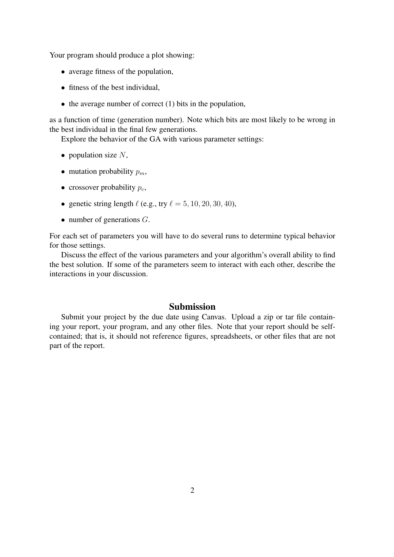Your program should produce a plot showing:

- average fitness of the population,
- fitness of the best individual,
- $\bullet$  the average number of correct (1) bits in the population,

as a function of time (generation number). Note which bits are most likely to be wrong in the best individual in the final few generations.

Explore the behavior of the GA with various parameter settings:

- population size  $N$ ,
- mutation probability  $p_m$ ,
- crossover probability  $p_c$ ,
- genetic string length  $\ell$  (e.g., try  $\ell = 5, 10, 20, 30, 40$ ),
- number of generations  $G$ .

For each set of parameters you will have to do several runs to determine typical behavior for those settings.

Discuss the effect of the various parameters and your algorithm's overall ability to find the best solution. If some of the parameters seem to interact with each other, describe the interactions in your discussion.

## Submission

Submit your project by the due date using Canvas. Upload a zip or tar file containing your report, your program, and any other files. Note that your report should be selfcontained; that is, it should not reference figures, spreadsheets, or other files that are not part of the report.